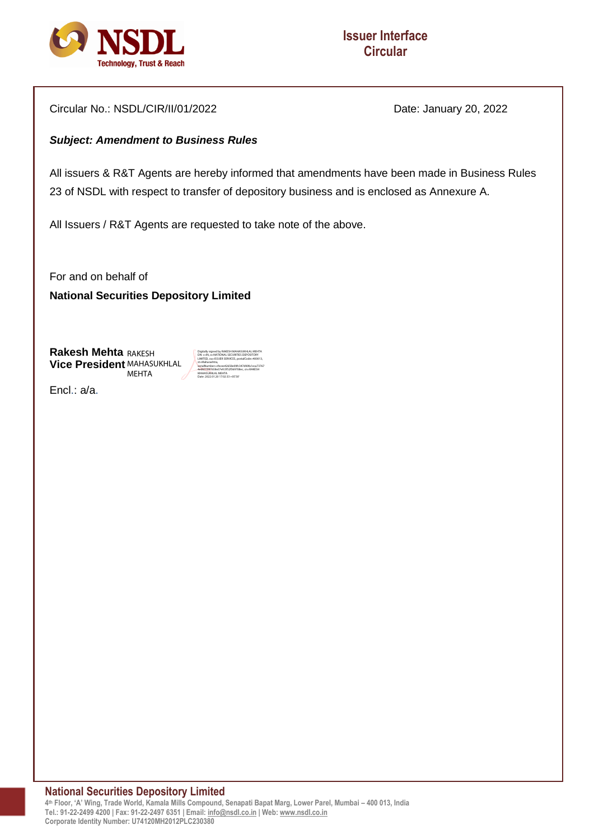

Circular No.: NSDL/CIR/II/01/2022 Date: January 20, 2022

## *Subject: Amendment to Business Rules*

All issuers & R&T Agents are hereby informed that amendments have been made in Business Rules 23 of NSDL with respect to transfer of depository business and is enclosed as Annexure A.

All Issuers / R&T Agents are requested to take note of the above.

For and on behalf of

**National Securities Depository Limited**

**Rakesh Mehta** RAKESH **Vice President** MAHASUKHLAL MEHTA

Digitally signed by RAKESH MAHASUKHLAL MEHTA DN: c=IN, o=NATIONAL SECURITIES DEPOSITORY LIMITED, ou=ISSUER SERVICES, postalCode=400013, st=Maharashtra, serialNumber=cfecee42658e09fc347d90fa1eca73767 4ed631997658e37efc5f52f369708ec, cn=RAKESH MAHASUKHLAL MEHTA Date: 2022.01.20 17:02:33 +05'30'

Encl.: a/a.